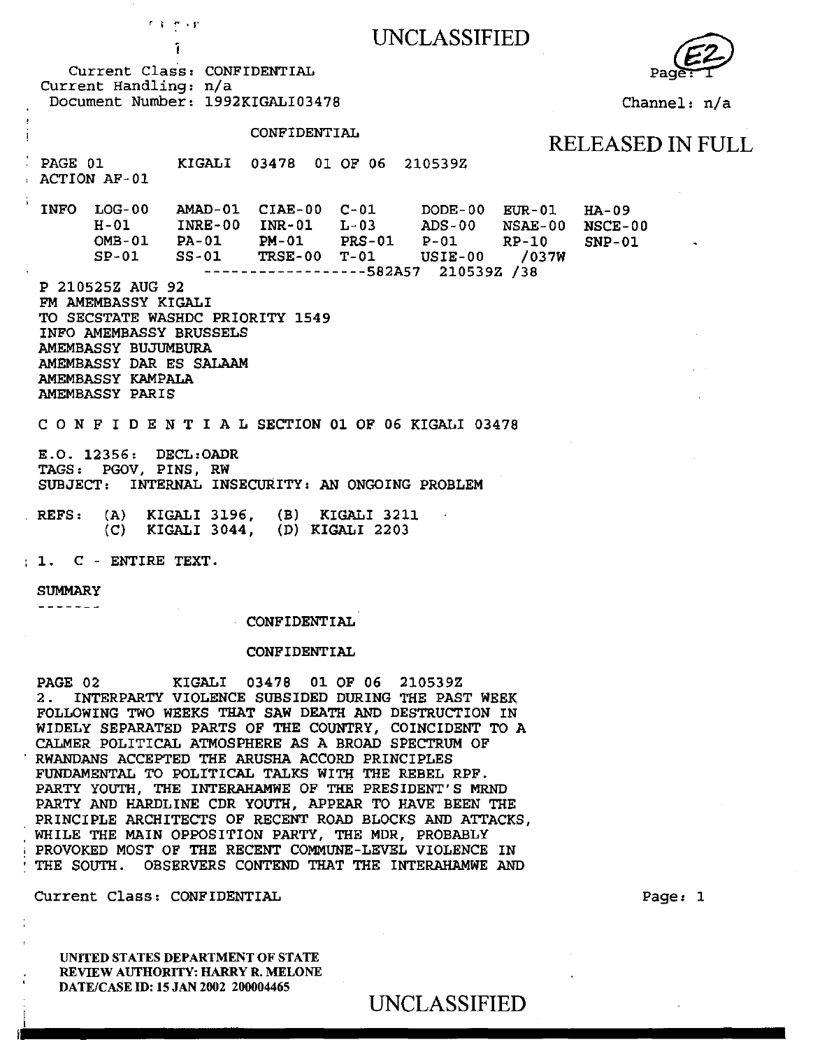*r* I .. • f UNCLASSIFIED i Current Class: CONFIDENTIAL Current Handling: n/a Document Number: 1992KIGALI03478 Channel: n/a CONFIDENTIAL RELEASED IN FULL PAGE 01 KIGALI 03478 01 OF 06 210539Z ACTION AF-01 INFO LOG-00 AMAD-01 CIAE-00 C-01 DODE-00 EUR-01 HA-09 H-01 INRE-00 INR-01 L-03 ADS-00 NSAE-00<br>
OMB-01 PA-01 PM-01 PRS-01 P-01 RP-10 NSCE-00 OMB-01 PA-01 PM-01 PRS-01 P-01 RP-10<br>SP-01 SS-01 TRSE-00 T-01 USIE-00 /037W SNP-01 TRSE-00 T-01 USIE-00 ------------------582A57 210539Z /38 P 210525Z AUG 92 FM AMEMBASSY KIGALI TO SECSTATE WASHDC PRIORITY 1549 INFO AMEMBASSY BRUSSELS AMEMBASSY BUJUMBURA AMEMBASSY DAR ES SALAAM AMEMBASSY KAMPALA AMEMBASSY PARIS C 0 N F I D E N T I A L SECTION 01 OF 06 KIGALI 03478 E.O. 12356: DECL:OADR TAGS: PGOV, PINS, RW INTERNAL INSECURITY: AN ONGOING PROBLEM REFS: (A) KIGALI 3196, (B) KIGALI 3211 (C) KIGALI 3044, (D) KIGALI 2203 1. C - ENTIRE TEXT. SUMMARY  $\frac{1}{2}$ CONFIDENTIAL CONFIDENTIAL PAGE 02 KIGALI 03478 01 OF 06 210539Z 2. INTERPARTY VIOLENCE SUBSIDED DURING THE PAST WEEK FOLLOWING TWO WEEKS THAT SAW DEATH AND DESTRUCTION IN WIDELY SEPARATED PARTS OF THE COUNTRY, COINCIDENT TO A CALMER POLITICAL ATMOSPHERE AS A BROAD SPECTRUM OF RWANDANS ACCEPTED THE ARUSHA ACCORD PRINCIPLES FUNDAMENTAL TO POLITICAL TALKS WITH THE REBEL RPF. PARTY YOUTH, THE INTERAHAMWE OF THE PRESIDENT'S MRND PARTY AND HARDLINE CDR YOUTH, APPEAR TO HAVE BEEN THE PRINCIPLE ARCHITECTS OF RECENT ROAD BLOCKS AND ATTACKS, WHILE THE MAIN OPPOSITION PARTY, THE MDR, PROBABLY

! PROVOKED MOST OF THE RECENT COMMUNE-LEVEL VIOLENCE IN : THE SOUTH. OBSERVERS CONTEND THAT THE INTERAHAMWE AND

Current Class: CONFIDENTIAL

UNITED STATES DEPARTMENT OF STATE REVIEW AUTHORITY: HARRY R. MELONE DATE/CASE ID: 15 JAN 2002 200004465

Page: 1

UNCLASSIFIED UNCLASSIFIED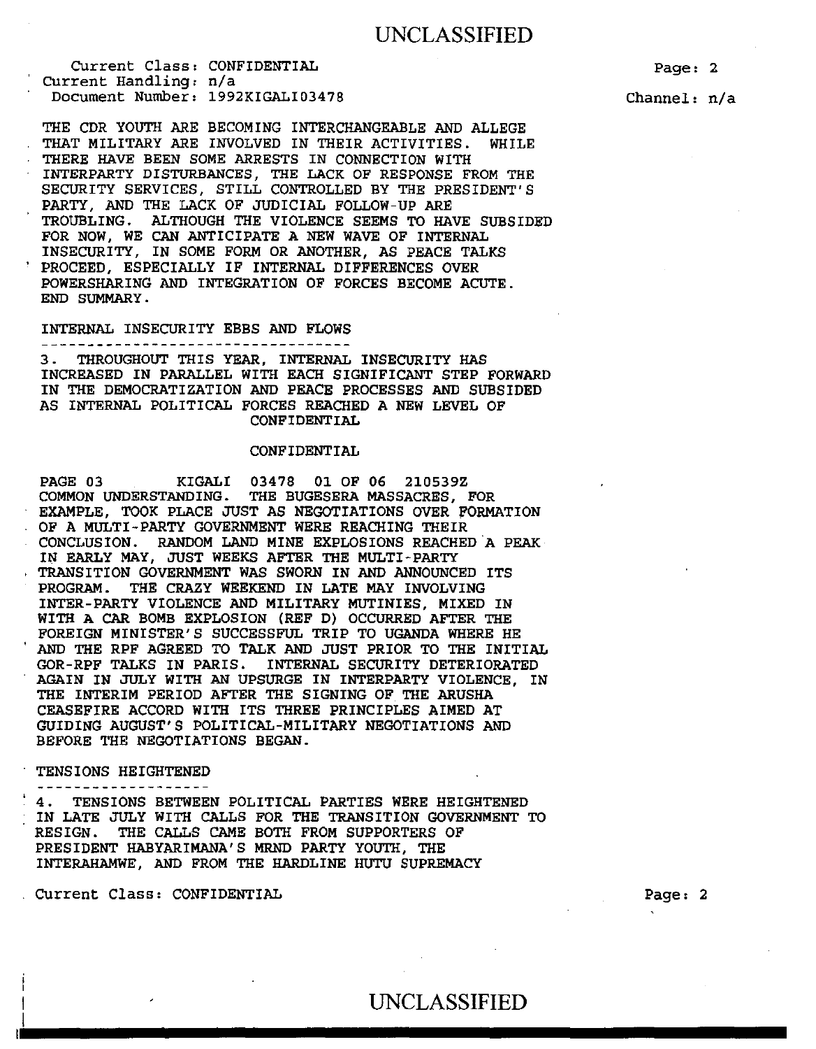Current Class: CONFIDENTIAL Current Handling: n/a Document Number: 1992KIGALI0347B

THE CDR YOUTH ARE BECOMING INTERCHANGEABLE AND ALLEGE THAT MILITARY ARE INVOLVED IN THEIR ACTIVITIES. WHILE THERE HAVE BEEN SOME ARRESTS IN CONNECTION WITH INTERPARTY DISTURBANCES, THE LACK OF RESPONSE FROM THE SECURITY SERVICES, STILL CONTROLLED BY THE PRESIDENT'S PARTY, AND THE LACK OF JUDICIAL FOLLOW-UP ARE TROUBLING. ALTHOUGH THE VIOLENCE SEEMS TO HAVE SUBSIDED FOR NOW, WE CAN ANTICIPATE A NEW WAVE OF INTERNAL INSECURITY, IN SOME FORM OR ANOTHER, AS PEACE TALKS PROCEED, ESPECIALLY IF INTERNAL DIFFERENCES OVER POWERSHARING AND INTEGRATION OF FORCES BECOME ACUTE. END SUMMARY.

# INTERNAL INSECURITY EBBS AND FLOWS

3. THROUGHOUT THIS YEAR, INTERNAL INSECURITY HAS INCREASED IN PARALLEL WITH EACH SIGNIFICANT STEP FORWARD IN THE DEMOCRATIZATION AND PEACE PROCESSES AND SUBSIDED AS INTERNAL POLITICAL FORCES REACHED A NEW LEVEL OF CONFIDENTIAL

#### CONFIDENTIAL

PAGE 03 KIGALI 0347B 01 OF 06 210539Z COMMON UNDERSTANDING. THE BUGESERA MASSACRES, FOR EXAMPLE, TOOK PLACE JUST AS NEGOTIATIONS OVER FORMATION OF A MULTI-PARTY GOVERNMENT WERE REACHING THEIR CONCLUSION. RANDOM LAND MINE EXPLOSIONS REACHED.A PEAK IN EARLY MAY, JUST WEEKS AFTER THE MULTI-PARTY TRANSITION GOVERNMENT WAS SWORN IN AND ANNOUNCED ITS PROGRAM. THE CRAZY WEEKEND IN LATE MAY INVOLVING INTER-PARTY VIOLENCE AND MILITARY MUTINIES, MIXED IN WITH A CAR BOMB EXPLOSION (REF D) OCCURRED AFTER THE FOREIGN MINISTER'S SUCCESSFUL TRIP TO UGANDA WHERE HE AND THE RPF AGREED TO TALK AND JUST PRIOR TO THE INITIAL GOR-RPF TALKS IN PARIS. INTERNAL SECURITY DETERIORATED AGAIN IN JULY WITH AN UPSURGE IN INTERPARTY VIOLENCE, IN THE INTERIM PERIOD AFTER THE SIGNING OF THE ARUSHA CEASEFIRE ACCORD WITH ITS THREE PRINCIPLES AIMED AT GUIDING AUGUST'S POLITICAL-MILITARY NEGOTIATIONS AND BEFORE THE NEGOTIATIONS BEGAN.

#### TENSIONS HEIGHTENED

 $\mathbf{I}$ 

4. TENSIONS BETWEEN POLITICAL PARTIES WERE HEIGHTENED IN LATE JULY WITH CALLS FOR THE TRANSITION GOVERNMENT TO RESIGN. THE CALLS CAME BOTH FROM SUPPORTERS OF PRESIDENT HABYARIMANA' S MRND PARTY YOUTH, THE INTERAHAMWE, AND FROM THE HARDLINE HUTU SUPREMACY

Current Class: CONFIDENTIAL

Page: 2

Channel: n/a

# UNCLASSIFIED UNCLASSIFIED<br>|<br>|-

Page: 2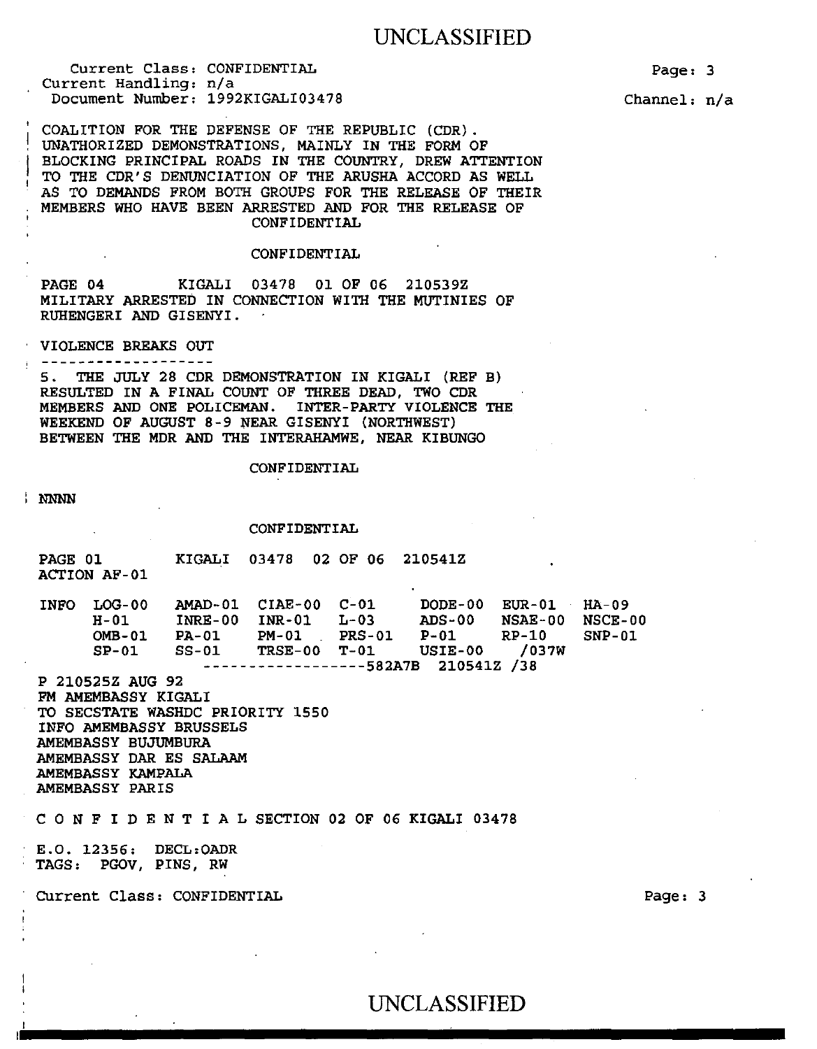Current Class: CONFIDENTIAL Current Handling: n/a Document Number: 1992KIGALI03478

COALITION FOR THE DEFENSE OF THE REPUBLIC (CDR) . UNATHORIZED DEMONSTRATIONS, MAINLY IN THE FORM OF BLOCKING PRINCIPAL ROADS IN THE COUNTRY, DREW ATTENTION TO THE CDR'S DENUNCIATION OF THE ARUSHA ACCORD AS WELL AS TO DEMANDS FROM BOTH GROUPS FOR THE RELEASE OF THEIR MEMBERS WHO HAVE BEEN ARRESTED AND FOR THE RELEASE OF CONFIDENTIAL

#### CONFIDENTIAL

PAGE 04 KIGALI 03478 01 OF 06 210539Z MILITARY ARRESTED IN CONNECTION WITH THE MUTINIES OF RUHENGERI AND GISENYI.

VIOLENCE BREAKS OUT -------------------

5. THE JULY 28 CDR DEMONSTRATION IN KIGALI (REF B) RESULTED IN A FINAL COUNT OF THREE DEAD, TWO CDR MEMBERS AND ONE POLICEMAN. INTER-PARTY VIOLENCE THE WEEKEND OF AUGUST 8-9 NEAR GISENYI (NORTHWEST) BETWEEN THE MDR AND THE INTERAHAMWE, NEAR KIBUNGO

#### CONFIDENTIAL

NNNN

#### CONFIDENTIAL

|             | PAGE 01<br><b>ACTION AF-01</b>                                                                                                                               | KIGALI 03478 02 OF 06 210541Z    |                                                                                                                                                                                                                              |  |
|-------------|--------------------------------------------------------------------------------------------------------------------------------------------------------------|----------------------------------|------------------------------------------------------------------------------------------------------------------------------------------------------------------------------------------------------------------------------|--|
| <b>INFO</b> | $LOG-00$                                                                                                                                                     |                                  | AMAD-01 CIAE-00 C-01 DODE-00 EUR-01 HA-09<br>H-01 INRE-00 INR-01 L-03 ADS-00 NSAE-00 NSCE-00<br>OMB-01 PA-01 PM-01 PRS-01 P-01 RP-10 SNP-01<br>SP-01 SS-01 TRSE-00 T-01 USIE-00 /037W<br>-----------------582A7B 210541Z /38 |  |
|             | P 210525Z AUG 92<br>FM AMEMBASSY KIGALI<br>INFO AMEMBASSY BRUSSELS<br>AMEMBASSY BUJUMBURA<br>AMEMBASSY DAR ES SALAAM<br>AMEMBASSY KAMPALA<br>AMEMBASSY PARIS | TO SECSTATE WASHDC PRIORITY 1550 |                                                                                                                                                                                                                              |  |
|             |                                                                                                                                                              |                                  | CONFIDENTIAL SECTION 02 OF 06 KIGALI 03478                                                                                                                                                                                   |  |
|             | E.0.12356: DECL:OADR<br>TAGS: PGOV, PINS, RW                                                                                                                 |                                  |                                                                                                                                                                                                                              |  |

Current Class: CONFIDENTIAL

Page: 3

Channel: n/a

Page: 3

## UNCLASSIFIED 1.1 ................................................................ ..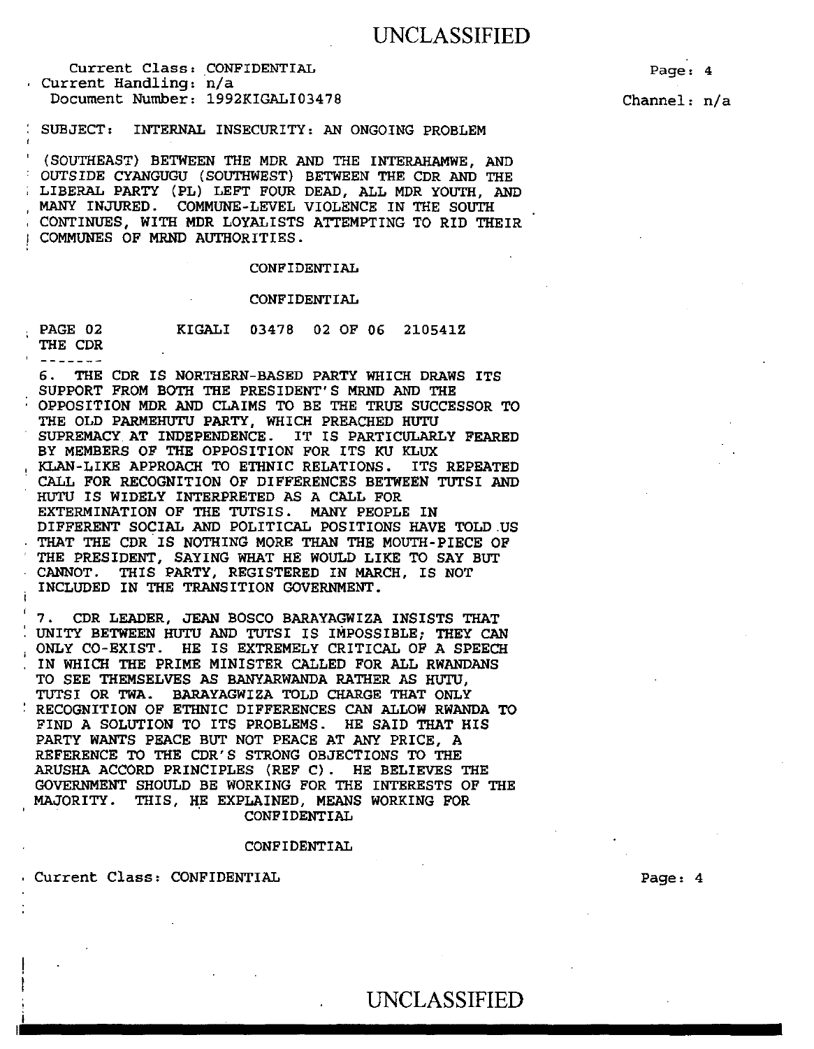Page: 4 Channel: n/a

SUBJECT: INTERNAL INSECURITY: AN ONGOING PROBLEM

' (SOUTHEAST) BETWEEN THE MDR AND THE INTERAHAMWE, AND OUTSIDE CYANGUGU (SOUTHWEST) BETWEEN THE CDR AND THE LIBERAL PARTY (PL) LEFT FOUR DEAD, ALL MDR YOUTH, AND MANY INJURED. COMMUNE-LEVEL VIOLENCE IN THE SOUTH CONTINUES, WITH MDR LOYALISTS ATTEMPTING TO RID THEIR COMMUNES OF MRND AUTHORITIES.

#### CONFIDENTIAL

#### CONFIDENTIAL

PAGE 02 THE CDR KIGALI 03478 02 OF 06 210541Z

-------

6. THE CDR IS NORTHERN-BASED PARTY WHICH DRAWS ITS SUPPORT FROM BOTH THE PRESIDENT'S MRND AND THE OPPOSITION MDR AND CLAIMS TO BE THE TRUE SUCCESSOR TO THE OLD PARMEHUTU PARTY, WHICH PREACHED HUTU SUPREMACY AT INDEPENDENCE. IT IS PARTICULARLY FEARED BY MEMBERS OF THE OPPOSITION FOR ITS KU KLUX<br>KLAN-LIKE APPROACH TO ETHNIC RELATIONS. ITS REPEATED KLAN-LIKE APPROACH TO ETHNIC RELATIONS. CALL FOR RECOGNITION OF DIFFERENCES BETWEEN TUTSI AND HUTU IS WIDELY INTERPRETED AS A CALL FOR EXTERMINATION OF THE TUTSIS. MANY PEOPLE IN DIFFERENT SOCIAL AND POLITICAL POSITIONS HAVE TOLD.US THAT THE CDR IS NOTHING MORE THAN THE MOUTH-PIECE OF THE PRESIDENT, SAYING WHAT HE WOULD LIKE TO SAY BUT CANNOT. THIS PARTY, REGISTERED IN MARCH, IS NOT INCLUDED IN THE TRANSITION GOVERNMENT.

7. CDR LEADER, JEAN BOSCO BARAYAGWIZA INSISTS THAT UNITY BETWEEN HUTU AND TUTSI IS IMPOSSIBLE; THEY CAN ONLY CO-EXIST. HE IS EXTREMELY CRITICAL OF A SPEECH IN WHICH THE PRIME MINISTER CALLED FOR ALL RWANDANS TO SEE THEMSELVES AS BANYARWANDA RATHER AS HUTU, TUTSI OR TWA. BARAYAGWIZA TOLD CHARGE THAT ONLY RECOGNITION OF ETHNIC DIFFERENCES CAN ALLOW RWANDA TO FIND A SOLUTION TO ITS PROBLEMS. HE SAID THAT HIS PARTY WANTS PEACE BUT NOT PEACE AT ANY PRICE, A REFERENCE TO THE CDR'S STRONG OBJECTIONS TO THE ARUSHA ACCORD PRINCIPLES (REF C) . HE BELIEVES THE GOVERNMENT SHOULD BE WORKING FOR THE INTERESTS OF THE MAJORITY. THIS, HE EXPLAINED, MEANS WORKING FOR<br>CONFIDENTIAL

#### CONFIDENTIAL

UNCLASSIFIED

!., ........................................................ ...

Current Class: CONFIDENTIAL

Page: 4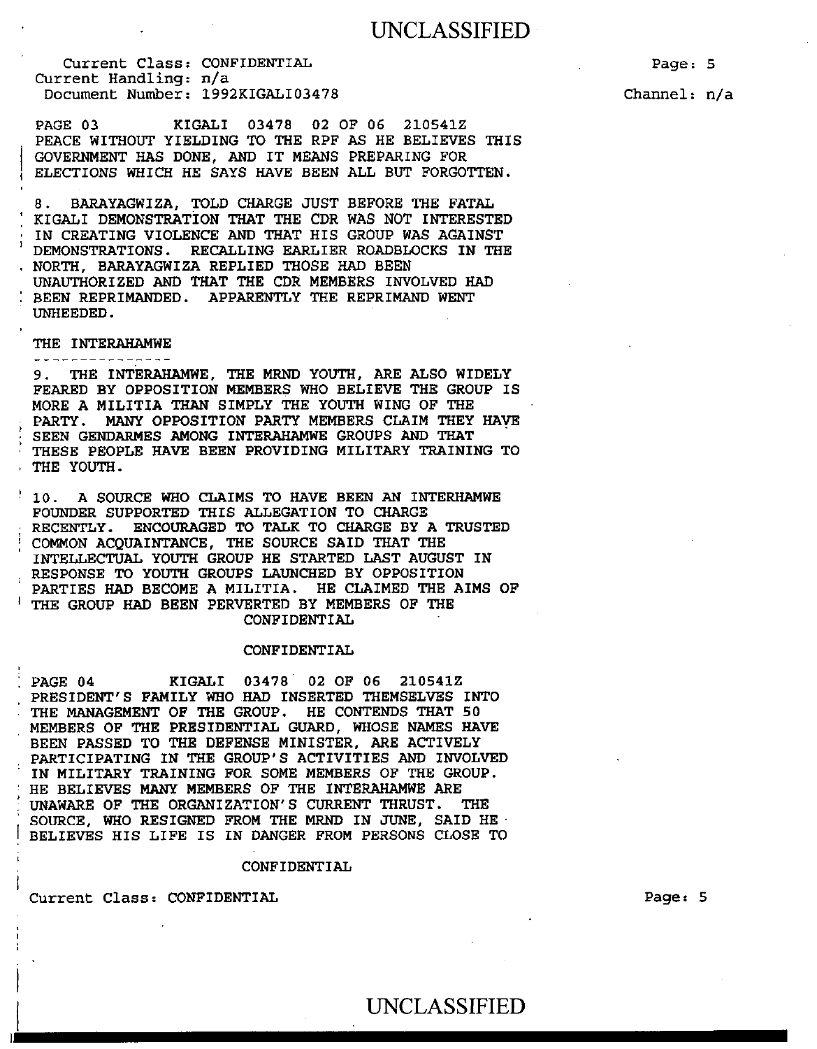Page: 5

Channel: n/a

PAGE 03 KIGALI 03478 02 OF 06 210541Z PEACE WITHOUT YIELDING TO THE RPF AS HE BELIEVES THIS GOVERNMENT HAS DONE, AND IT MEANS PREPARING FOR ELECTIONS WHICH HE SAYS HAVE BEEN ALL BUT FORGOTTEN.

8. BARAYAGWIZA, TOLD CHARGE JUST BEFORE THE FATAL KIGALI DEMONSTRATION THAT THE CDR WAS NOT INTERESTED IN CREATING VIOLENCE AND THAT HIS GROUP WAS AGAINST DEMONSTRATIONS. RECALLING EARLIER ROADBLOCKS IN THE NORTH, BARAYAGWIZA REPLIED THOSE HAD BEEN UNAUTHORIZED AND THAT THE CDR MEMBERS INVOLVED HAD BEEN REPRIMANDED. APPARENTLY THE REPRIMAND WENT UNHEEDED.

#### THE INTERAHAMWE ---------------

9. THE INTERAHAMWE, THE MRND YOUTH, ARE ALSO WIDELY FEARED BY OPPOSITION MEMBERS WHO BELIEVE THE GROUP IS MORE A MILITIA THAN SIMPLY THE YOUTH WING OF THE PARTY. MANY OPPOSITION PARTY MEMBERS CLAIM THEY HAVE SEEN GENDARMES AMONG INTERAHAMWE GROUPS AND THAT THESE PEOPLE HAVE BEEN PROVIDING MILITARY TRAINING TO THE YOUTH.

10. A SOURCE WHO CLAIMS TO HAVE BEEN AN INTERHAMWE FOUNDER SUPPORTED THIS ALLEGATION TO CHARGE RECENTLY. ENCOURAGED TO TALK TO CHARGE BY A TRUSTED COMMON ACQUAINTANCE, THE SOURCE SAID THAT THE INTELLECTUAL YOUTH GROUP HE STARTED LAST AUGUST IN RESPONSE TO YOUTH GROUPS LAUNCHED BY OPPOSITION PARTIES HAD BECOME A MILITIA. HE CLAIMED THE AIMS OF 1 THE GROUP HAD BEEN PERVERTED BY MEMBERS OF THE CONFIDENTIAL

#### CONFIDENTIAL

PAGE 04 KIGALI 03478 02 OF 06 210541Z PRESIDENT'S FAMILY WHO HAD INSERTED THEMSELVES INTO THE MANAGEMENT OF THE GROUP. HE CONTENDS THAT 50 MEMBERS OF THE PRESIDENTIAL GUARD, WHOSE NAMES HAVE BEEN PASSED TO THE DEFENSE MINISTER, ARE ACTIVELY PARTICIPATING IN THE GROUP'S ACTIVITIES AND INVOLVED IN MILITARY TRAINING FOR SOME MEMBERS OF THE GROUP. HE BELIEVES MANY MEMBERS OF THE INTERAHAMWE ARE UNAWARE OF THE ORGANIZATION'S CURRENT THRUST. THE BELIEVES HIS LIFE IS IN DANGER FROM PERSONS CLOSE TO

#### CONFIDENTIAL

I UNCLASSIFIED

Current Class: CONFIDENTIAL

 $\begin{matrix} \phantom{-} \end{matrix}$ 

Page: 5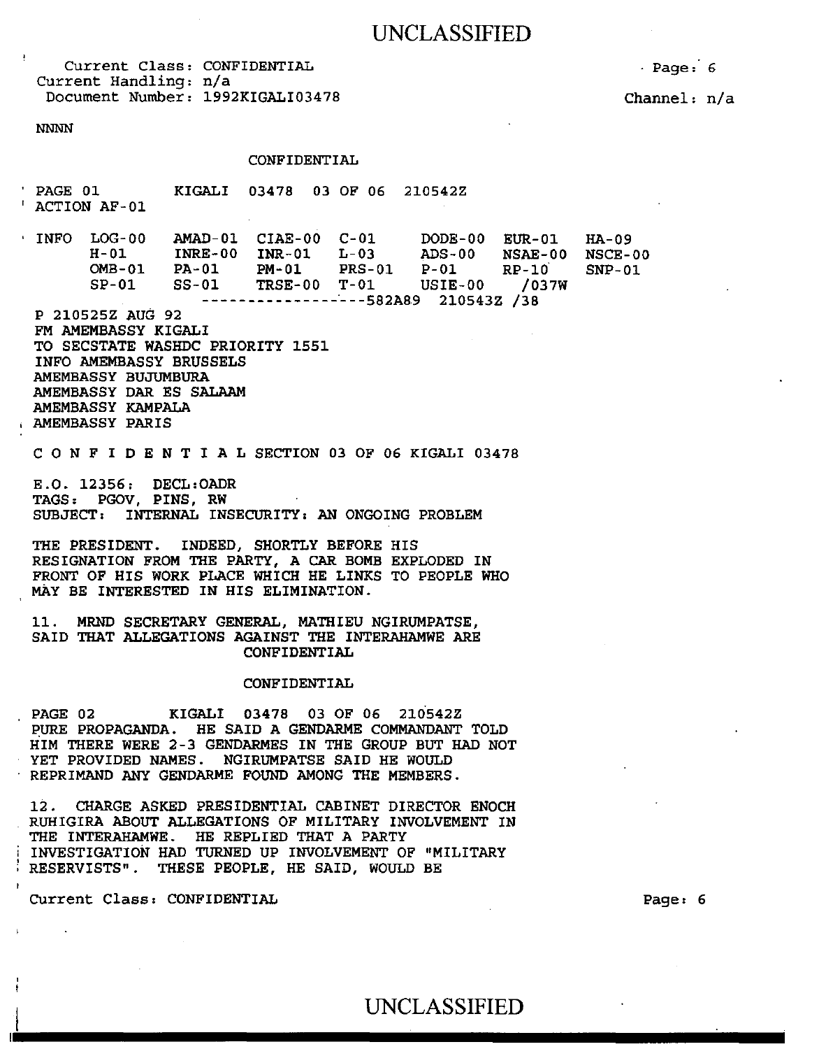Current Class: CONFIDENTIAL Current Handling: n/a Document Number: 1992KIGALI03478

 $-paqe: 6$ 

Channel: n/a

NNNN

#### CONFIDENTIAL

PAGE 01 KIGALI 03478 03 OF 06 210542Z ACTION AF-01

INFO LOG-00 H-01 OMB-01 SP-01 AMAD-01 CIAE-00 C-Ol DODE-00 EUR-01 INRE-00 INR-01 L-03 ADS-00 NSAE-00 PA-01 PM-01 PRS-01 P-Ol RP-10 SS-01 TRSE-00 T-01 USIE-00 /037W ---------------·---582A89 210543Z /38 HA-09 NSAE-00 NSCE-00 SNP-01

P 210525Z AUG 92 FM AMEMBASSY KIGALI TO SECSTATE WASHDC PRIORITY 1551 INFO AMEMBASSY BRUSSELS AMEMBASSY BUJUMBURA AMEMBASSY DAR ES SALAAM AMEMBASSY KAMPALA<br>AMEMBASSY PARIS

C 0 N F I D E N T I A L SECTION 03 OF 06 KIGALI 03478

E.O. 12356: DECL:OADR TAGS: PGOV, PINS, RW SUBJECT: INTERNAL INSECURITY: AN ONGOING PROBLEM

THE PRESIDENT. INDEED, SHORTLY BEFORE HIS RESIGNATION FROM THE PARTY, A CAR BOMB EXPLODED IN FRONT OF HIS WORK PLACE WHICH HE LINKS TO PEOPLE WHO MAY BE INTERESTED IN HIS ELIMINATION.

11. MRND SECRETARY GENERAL, MATHIEU NGIRUMPATSE, SAID THAT ALLEGATIONS AGAINST THE INTERAHAMWE ARE CONFIDENTIAL

#### CONFIDENTIAL

PAGE 02 KIGALI 03478 03 OF 06 210542Z PURE PROPAGANDA. HE SAID A GENDARME COMMANDANT TOLD HIM THERE WERE 2-3 GENDARMES IN THE GROUP BUT HAD NOT YET PROVIDED NAMES. NGIRUMPATSE SAID HE WOULD REPRIMAND ANY GENDARME FOUND AMONG THE MEMBERS.

12. CHARGE ASKED PRESIDENTIAL CABINET DIRECTOR ENOCH RUHIGIRA ABOUT ALLEGATIONS OF MILITARY INVOLVEMENT IN THE INTERAHAMWE. HE REPLIED THAT A PARTY INVESTIGATION HAD TURNED UP INVOLVEMENT OF "MILITARY RESERVISTS". THESE PEOPLE, HE SAID, WOULD BE

CUrrent Class: CONFIDENTIAL

Page: 6

# UNCLASSIFIED ~-'------------------------------------------..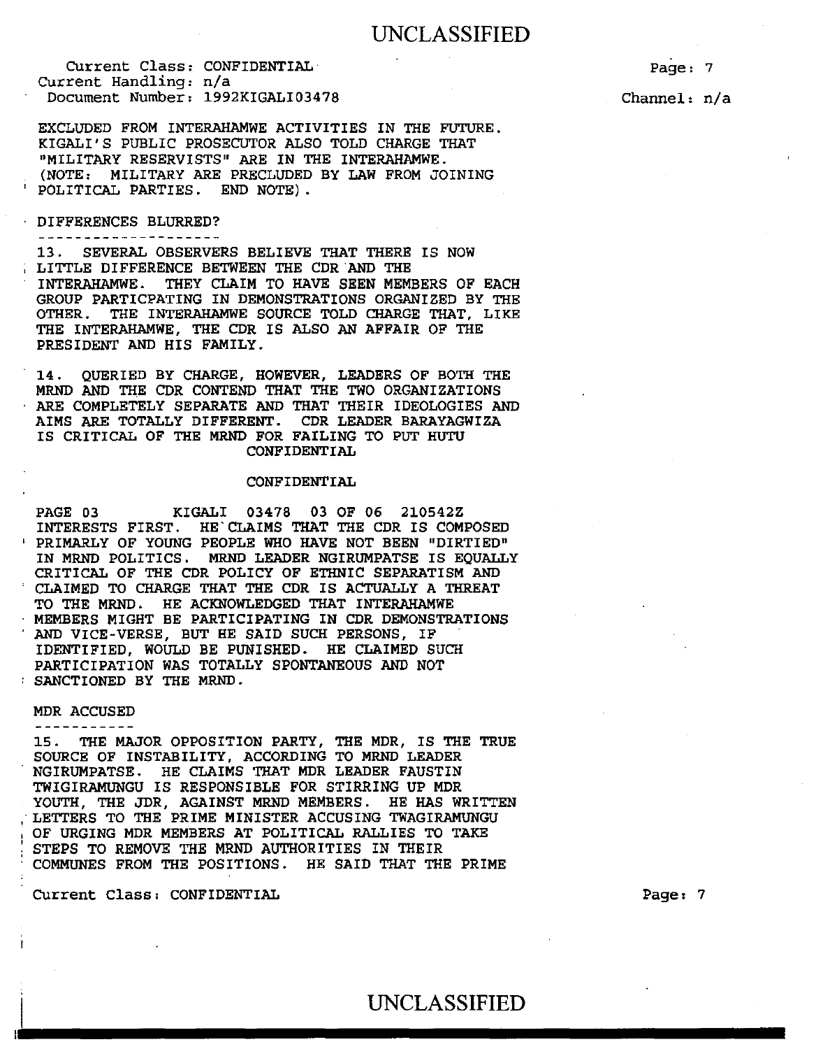CUrrent Class: CONFIDENTIAL current Handling: n/a Document Number: 1992KIGALI03478

EXCLUDED FROM INTERAHAMWE ACTIVITIES IN THE FUTURE. KIGALI'S PUBLIC PROSECUTOR ALSO TOLD CHARGE THAT "MILITARY RESERVISTS" ARE IN THE INTERAHAMWE. (NOTE: MILITARY ARE PRECLUDED BY LAW FROM JOINING POLITICAL PARTIES. END NOTE).

### DIFFERENCES BLURRED?

13. SEVERAL OBSERVERS BELIEVE THAT THERE IS NOW LITTLE DIFFERENCE BETWEEN THE CDR AND THE INTERAHAMWE. THEY CLAIM TO HAVE SEEN MEMBERS OF EACH GROUP PARTICPATING IN DEMONSTRATIONS ORGANIZED BY THE OTHER. THE INTERAHAMWE SOURCE TOLD CHARGE THAT, LIKE THE INTERAHAMWE, THE CDR IS ALSO AN AFFAIR OF THE PRESIDENT AND HIS FAMILY.

14. QUERIED BY CHARGE, HOWEVER, LEADERS OF BOTH THE MRND AND THE CDR CONTEND THAT THE TWO ORGANIZATIONS ARE COMPLETELY SEPARATE AND THAT THEIR IDEOLOGIES AND AIMS ARE TOTALLY DIFFERENT. CDR LEADER BARAYAGWIZA IS CRITICAL OF THE MRND FOR FAILING TO PUT HUTU CONFIDENTIAL

#### CONFIDENTIAL

PAGE 03 KIGALI 03478 03 OF 06 210542Z INTERESTS FIRST. HE'CLAIMS THAT THE CDR IS COMPOSED ' PRIMARLY OF YOUNG PEOPLE WHO HAVE NOT BEEN "DIRTIED" IN MRND POLITICS. MRND LEADER NGIRUMPATSE IS EQUALLY CRITICAL OF THE CDR POLICY OF ETHNIC SEPARATISM AND CLAIMED TO CHARGE THAT THE CDR IS ACTUALLY A THREAT TO THE MRND. HE ACKNOWLEDGED THAT INTERAHAMWE MEMBERS MIGHT BE PARTICIPATING IN CDR DEMONSTRATIONS AND VICE-VERSE, BUT HE SAID SUCH PERSONS, IF IDENTIFIED, WOULD BE PUNISHED. HE CLAIMED SUCH PARTICIPATION WAS TOTALLY SPONTANEOUS AND NOT SANCTIONED BY THE MRND.

#### MDR ACCUSED

15. THE MAJOR OPPOSITION PARTY, THE MDR, IS THE TRUE SOURCE OF INSTABILITY, ACCORDING TO MRND LEADER NGIRUMPATSE. HE CLAIMS THAT MDR LEADER FAUSTIN TWIGIRAMUNGU IS RESPONSIBLE FOR STIRRING UP MDR YOUTH, THE JDR, AGAINST MRND MEMBERS. HE HAS WRITTEN LETTERS TO THE PRIME MINISTER ACCUSING TWAGIRAMUNGU OF URGING MDR MEMBERS AT POLITICAL RALLIES TO TAKE STEPS TO REMOVE THE MRND AUTHORITIES IN THEIR COMMUNES FROM THE POSITIONS. HE SAID THAT THE PRIME

CUrrent Class: CONFIDENTIAL

Page: 7

Page: 7

Channel: n/a

I UNCLASSIFIED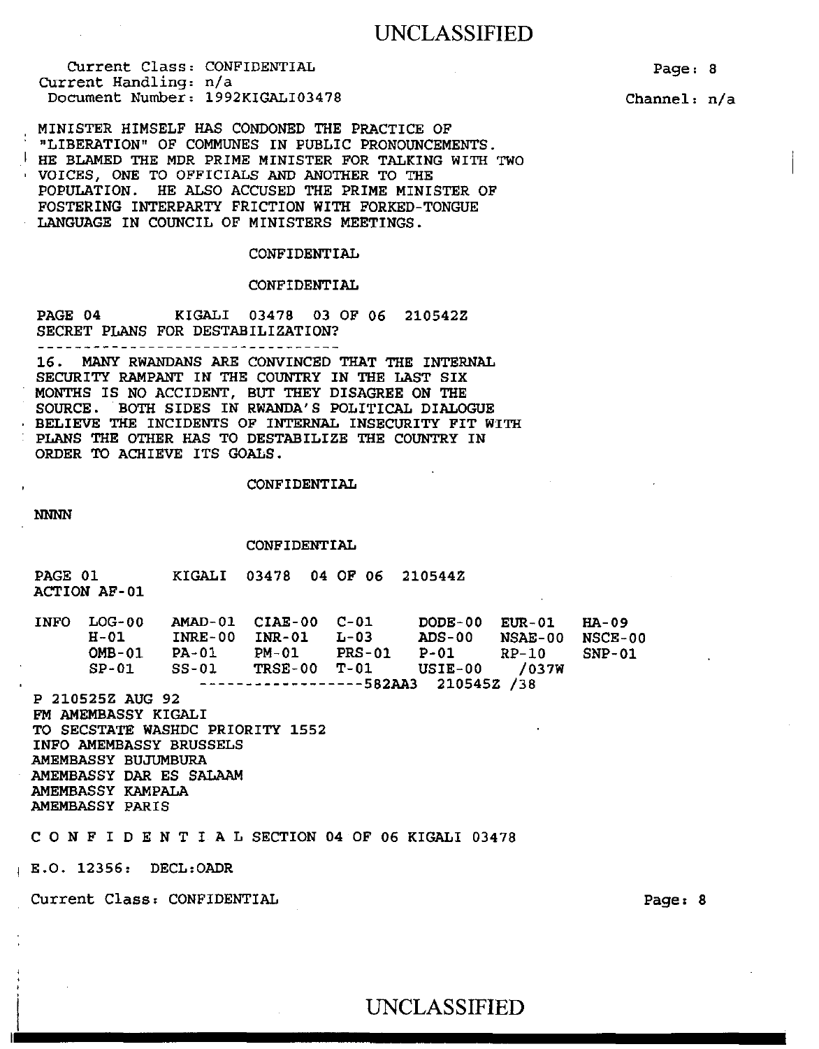Current Class: CONFIDENTIAL Current Handling: n/a Document Number: 1992KIGALI03478 Page: 8

Channel: n/a

MINISTER HIMSELF HAS CONDONED THE PRACTICE OF "LIBERATION" OF COMMUNES IN PUBLIC PRONOUNCEMENTS. HE BLAMED THE MDR PRIME MINISTER FOR TALKING WITH TWO VOICES, ONE TO OFFICIALS AND ANOTHER TO THE POPULATION. HE ALSO ACCUSED THE PRIME MINISTER OF FOSTERING INTERPARTY FRICTION WITH FORKED-TONGUE LANGUAGE IN COUNCIL OF MINISTERS MEETINGS.

#### CONFIDENTIAL

#### CONFIDENTIAL

PAGE 04 KIGALI 03478 03 OF 06 210542Z SECRET PLANS FOR DESTABILIZATION?

16 . MANY RWANDANS ARE CONVINCED THAT THE INTERNAL SECURITY RAMPANT IN THE COUNTRY IN THE LAST SIX MONTHS IS NO ACCIDENT, BUT THEY DISAGREE ON THE SOURCE. BOTH SIDES IN RWANDA'S POLITICAL DIALOGUE BELIEVE THE INCIDENTS OF INTERNAL INSECURITY FIT WITH PLANS THE OTHER HAS TO DESTABILIZE THE COUNTRY IN ORDER TO ACHIEVE ITS GOALS.

#### CONFIDENTIAL

NNNN

I

#### CONFIDENTIAL

| PAGE 01     | <b>ACTION AF-01</b>                              |                                  | KIGALI 03478 04 OF 06 210544Z                      |                                 |                                          |                                                |                                |
|-------------|--------------------------------------------------|----------------------------------|----------------------------------------------------|---------------------------------|------------------------------------------|------------------------------------------------|--------------------------------|
| <b>INFO</b> | $LOG-00$<br>H-01<br>$OMB-01$<br>CD <sub>01</sub> | INRE-00<br>PA-01<br><b>CO 01</b> | AMAD-01 CIAE-00 C-01<br>INR-01<br>PM-01<br>mnom aa | L-03<br>$PRS-01$<br><b>m</b> 01 | DODE-00<br>ADS-00<br>$P-01$<br>37.777.00 | <b>EUR-01</b><br>$NSAE-00$<br>$RP-10$<br>10000 | $HA-09$<br>NSCE-00<br>$SNP-01$ |

SP-01 SS-01 TRSE-00 T-01 USIE-00 ------------------582AA3 210545Z /38 P 210525Z AUG 92 /037W

FM AMEMBASSY KIGALI TO SECSTATE WASHDC PRIORITY 1552 INFO AMEMBASSY BRUSSELS AMEMBASSY BUJUMBURA AMEMBASSY DAR ES SALAAM AMEMBASSY KAMPALA AMEMBASSY PARIS

#### C 0 N F I D E N T I A L SECTION 04 OF 06 KIGALI 03478

! E.O. 12356: DECL:OADR

Current Class: CONFIDENTIAL

Page: 8

### , UNCLASSIFIED

~----------------------------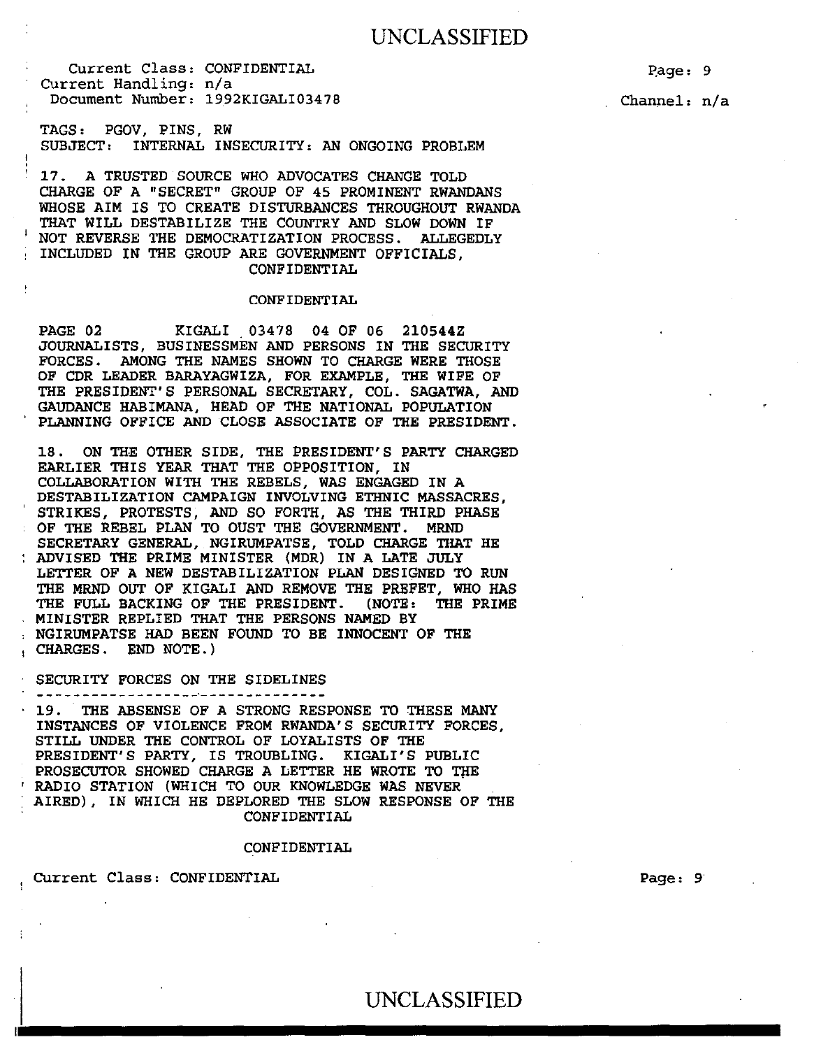Channel: n/a

Page: 9

TAGS: PGOV, PINS, RW SUBJECT: INTERNAL INSECURITY: AN ONGOING PROBLEM

17. A TRUSTED SOURCE WHO ADVOCATES CHANGE TOLD CHARGE OF A "SECRET" GROUP OF 45 PROMINENT RWANDANS WHOSE AIM IS TO CREATE DISTURBANCES THROUGHOUT RWANDA THAT WILL DESTABILIZE THE COUNTRY AND SLOW DOWN IF NOT REVERSE THE DEMOCRATIZATION PROCESS. ALLEGEDLY INCLUDED IN THE GROUP ARE GOVERNMENT OFFICIALS, CONFIDENTIAL

#### CONFIDENTIAL

PAGE 02 KIGALI 03478 04 OF 06 210544Z JOURNALISTS, BUSINESSMEN AND PERSONS IN THE SECURITY FORCES • AMONG THE NAMES SHOWN TO CHARGE WERE THOSE OF CDR LEADER BARAYAGWIZA, FOR EXAMPLE, THE WIFE OF THE PRESIDENT'S PERSONAL SECRETARY, COL. SAGATWA, AND GAUDANCE HABIMANA, HEAD OF THE NATIONAL POPULATION PLANNING OFFICE AND CLOSE ASSOCIATE OF THE PRESIDENT.

18. ON THE OTHER SIDE, THE PRESIDENT'S PARTY CHARGED EARLIER THIS YEAR THAT THE OPPOSITION, IN COLLABORATION WITH THE REBELS, WAS ENGAGED IN A DESTABILIZATION CAMPAIGN INVOLVING ETHNIC MASSACRES, STRIKES, PROTESTS, AND SO FORTH, AS THE THIRD PHASE OF THE REBEL PLAN TO OUST THE GOVERNMENT. MRND SECRETARY GENERAL, NGIRUMPATSE, TOLD CHARGE THAT HE ADVISED THE PRIME MINISTER (MDR) IN A LATE JULY LETTER OF A NEW DESTABILIZATION PLAN DESIGNED TO RUN THE MRND OUT OF KIGALI AND REMOVE THE PREFET, WHO HAS THE FULL BACKING OF THE PRESIDENT. (NOTE: THE PRIME MINISTER REPLIED THAT THE PERSONS NAMED BY NGIRUMPATSE HAD BEEN FOUND TO BE INNOCENT OF THE CHARGES. END NOTE.)

#### SECURITY FORCES ON THE SIDELINES

19. THE ABSENSE OF A STRONG RESPONSE TO THESE MANY INSTANCES OF VIOLENCE FROM RWANDA'S SECURITY FORCES, STILL UNDER THE CONTROL OF LOYALISTS OF THE PRESIDENT'S PARTY, IS TROUBLING. KIGALI'S PUBLIC PROSECUTOR SHOWED CHARGE A LETTER HE WROTE TO THE ' RADIO STATION (WHICH TO OUR KNOWLEDGE WAS NEVER AIRED), IN WHICH HE DEPLORED THE SLOW RESPONSE OF THE CONFIDENTIAL

#### CONFIDENTIAL

#### Current Class: CONFIDENTIAL

Page: 9

### UNCLASSIFIED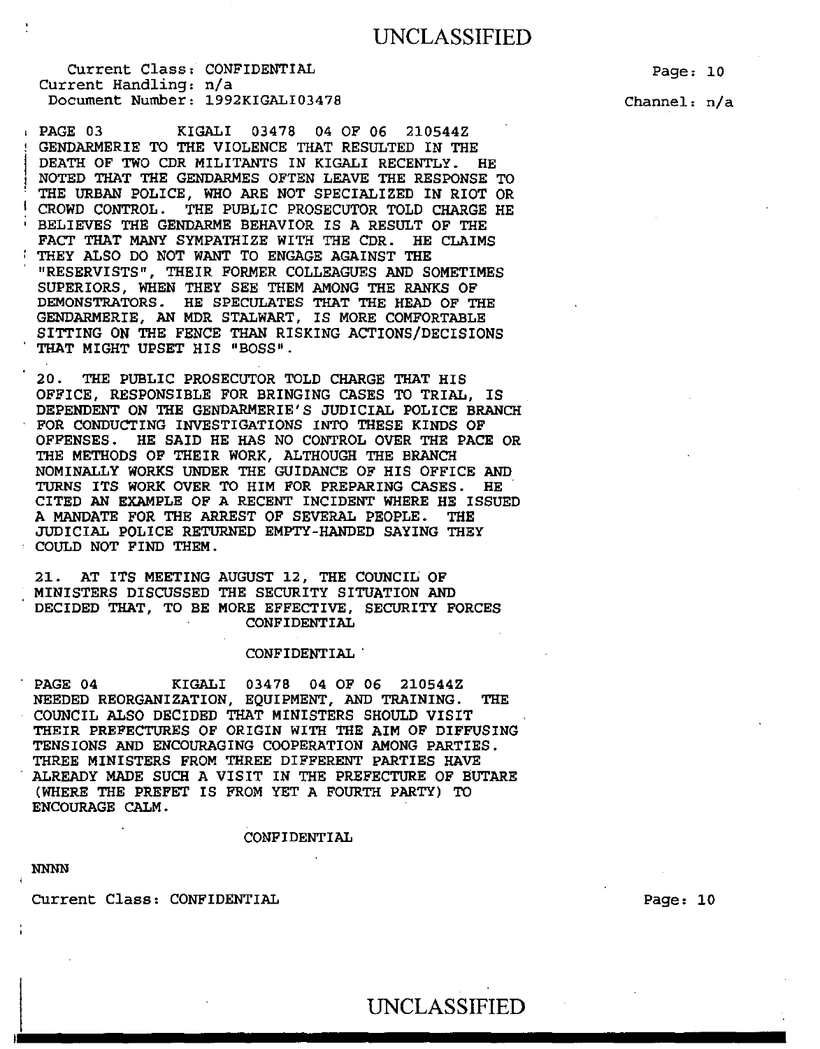, PAGE 03 KIGALI 03478 04 OF 06 210544Z GENDARMERIE TO THE VIOLENCE THAT RESULTED IN THE DEATH OF TWO CDR MILITANTS IN KIGALI RECENTLY. HE NOTED THAT THE GENDARMES OFTEN LEAVE THE RESPONSE TO THE URBAN POLICE, WHO ARE NOT SPECIALIZED IN RIOT OR CROWD CONTROL. THE PUBLIC PROSECUTOR TOLD CHARGE HE ' BELIEVES THE GENDARME BEHAVIOR IS A RESULT OF THE FACT THAT MANY SYMPATHIZE WITH THE CDR. HE CLAIMS THEY ALSO DO NOT WANT TO ENGAGE AGAINST THE "RESERVISTS", THEIR FORMER COLLEAGUES AND SOMETIMES SUPERIORS, WHEN THEY SEE THEM AMONG THE RANKS OF DEMONSTRATORS. HE SPECULATES THAT THE HEAD OF THE GENDARMERIE, AN MDR STALWART, IS MORE COMFORTABLE SITTING ON THE FENCE THAN RISKING ACTIONS/DECISIONS THAT MIGHT UPSET HIS "BOSS".

20. THE PUBLIC PROSECUTOR TOLD CHARGE THAT HIS OFFICE, RESPONSIBLE FOR BRINGING CASES TO TRIAL, IS DEPENDENT ON THE GENDARMERIE'S JUDICIAL POLICE BRANCH FOR CONDUCTING INVESTIGATIONS INTO THESE KINDS OF OFFENSES. HE SAID HE HAS NO CONTROL OVER THE PACE OR THE METHODS OF THEIR WORK, ALTHOUGH THE BRANCH NOMINALLY WORKS UNDER THE GUIDANCE OF HIS OFFICE AND TURNS ITS WORK OVER TO HIM FOR PREPARING CASES. HE CITED AN EXAMPLE OF A RECENT INCIDENT WHERE HE ISSUED A MANDATE FOR THE ARREST OF SEVERAL PEOPLE. THE JUDICIAL POLICE RETURNED EMPTY-HANDED SAYING THEY COULD NOT FIND THEM.

21. AT ITS MEETING AUGUST 12, THE COUNCIL OF MINISTERS DISCUSSED THE SECURITY SITUATION AND DECIDED THAT, TO BE MORE EFFECTIVE, SECURITY FORCES CONFIDENTIAL

#### CONFIDENTIAL '

PAGE 04 KIGALI 03478 04 OF 06 210544Z NEEDED REORGANIZATION, EQUIPMENT, AND TRAINING. THE COUNCIL ALSO DECIDED THAT MINISTERS SHOULD VISIT THEIR PREFECTURES OF ORIGIN WITH THE AIM OF DIFFUSING TENSIONS AND ENCOURAGING COOPERATION AMONG PARTIES. THREE MINISTERS FROM THREE DIFFERENT PARTIES HAVE ALREADY MADE SUCH A VISIT IN THE PREFECTURE OF BUTARE (WHERE THE PREFET IS FROM YET A FOURTH PARTY) TO ENCOURAGE CALM.

#### CONFIDENTIAL

NNNN

Current Class: CONFIDENTIAL

Page: 10

Channel: n/a

Page: 10

UNCLASSIFIED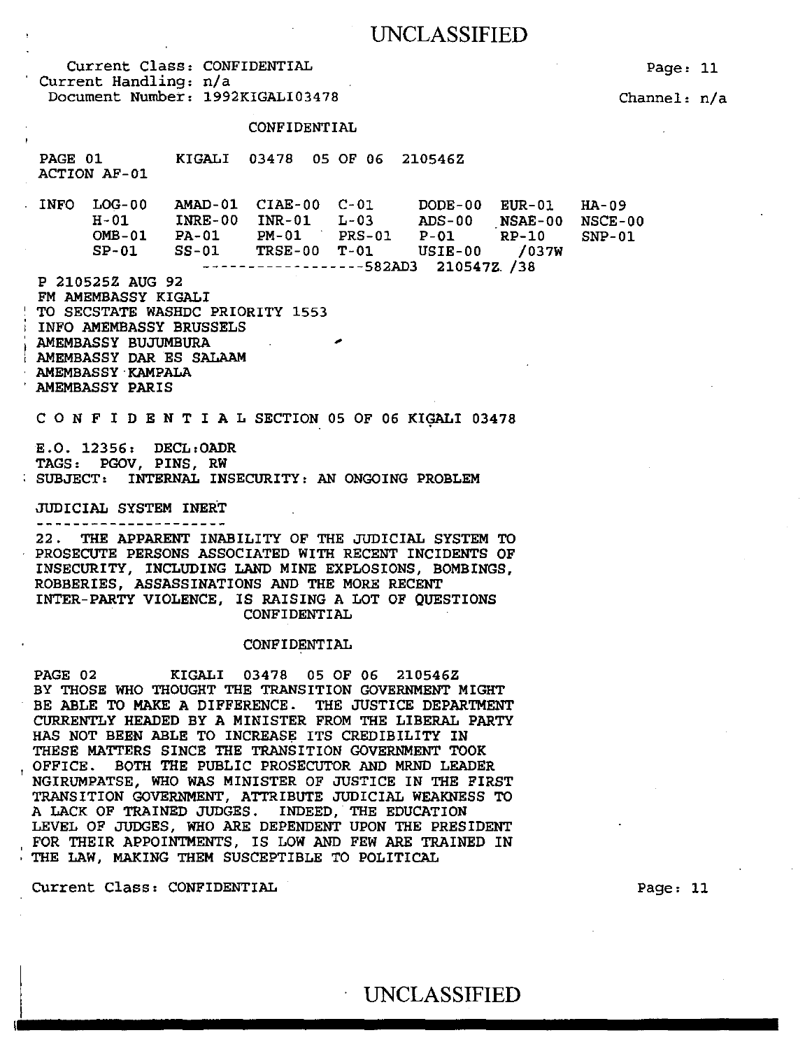Current Class: CONFIDENTIAL Current Handling: n/a Document Number: 1992KIGALI03478 CONFIDENTIAL PAGE 01 KIGALI 03478 OS OF 06 210S46Z ACTION AF-01 INFO LOG-00 AMAD-01 CIAE-00 C-01 DODE-00 EUR-01<br>H-01 INRE-00 INR-01 L-03 ADS-00 NSAE-00 H-01 INRE-00 INR-01 L-03 ADS-00 NSAE-00 OMB-01 PA-01 PM-01 PRS-01 P-01 RP-10<br>SP-01 SS-01 TRSE-00 T-01 USIE-00 /037W TRSE-00 T-01 USIE-00 ------------------S82AD3 210S47Z. /38 P 210S2SZ AUG 92 FM AMEMBASSY KIGALI TO SECSTATE WASHDC PRIORITY 1553 INFO AMEMBASSY BRUSSELS AMEMBASSY BUJUMBURA

AMEMBASSY DAR ES SALAAM

AMEMBASSY KAMPALA AMEMBASSY PARIS

 $C$  O N F I D E N T I A L SECTION 05 OF 06 KIGALI 03478

E.O. 123S6: DECL:OADR TAGS: PGOV, PINS, RW SUBJECT: INTERNAL INSECURITY: AN ONGOING PROBLEM

JUDICIAL SYSTEM INERT ---------------------

22. THE APPARENT INABILITY OF THE JUDICIAL SYSTEM TO PROSECUTE PERSONS ASSOCIATED WITH RECENT INCIDENTS OF INSECURITY, INCLUDING LAND MINE EXPLOSIONS, BOMBINGS, ROBBERIES, ASSASSINATIONS AND THE MORE RECENT INTER-PARTY VIOLENCE, IS RAISING A LOT OF QUESTIONS CONFIDENTIAL

#### CONFIDENTIAL

PAGE 02 KIGALI 03478 05 OF 06 210546Z BY THOSE WHO THOUGHT THE TRANSITION GOVERNMENT MIGHT BE ABLE TO MAKE A DIFFERENCE. THE JUSTICE DEPARTMENT CURRENTLY HEADED BY A MINISTER FROM THE LIBERAL PARTY HAS NOT BEEN ABLE TO INCREASE ITS CREDIBILITY IN THESE MATTERS SINCE THE TRANSITION GOVERNMENT TOOK OFFICE. BOTH THE PUBLIC PROSECUTOR AND MRND LEADER NGIRUMPATSE, WHO WAS MINISTER OF JUSTICE IN THE FIRST TRANSITION GOVERNMENT, ATTRIBUTE JUDICIAL WEAKNESS TO A LACK OF TRAINED JUDGES. INDEED, THE EDUCATION LEVEL OF JUDGES, WHO ARE DEPENDENT UPON THE PRESIDENT FOR THEIR APPOINTMENTS, IS LOW AND FEW ARE TRAINED IN THE LAW, MAKING THEM SUSCEPTIBLE TO POLITICAL

Current Class: CONFIDENTIAL

Page: 11

Channel: n/a

HA-09 NSCE-00 SNP-01

Page: 11

· UNCLASSIFIED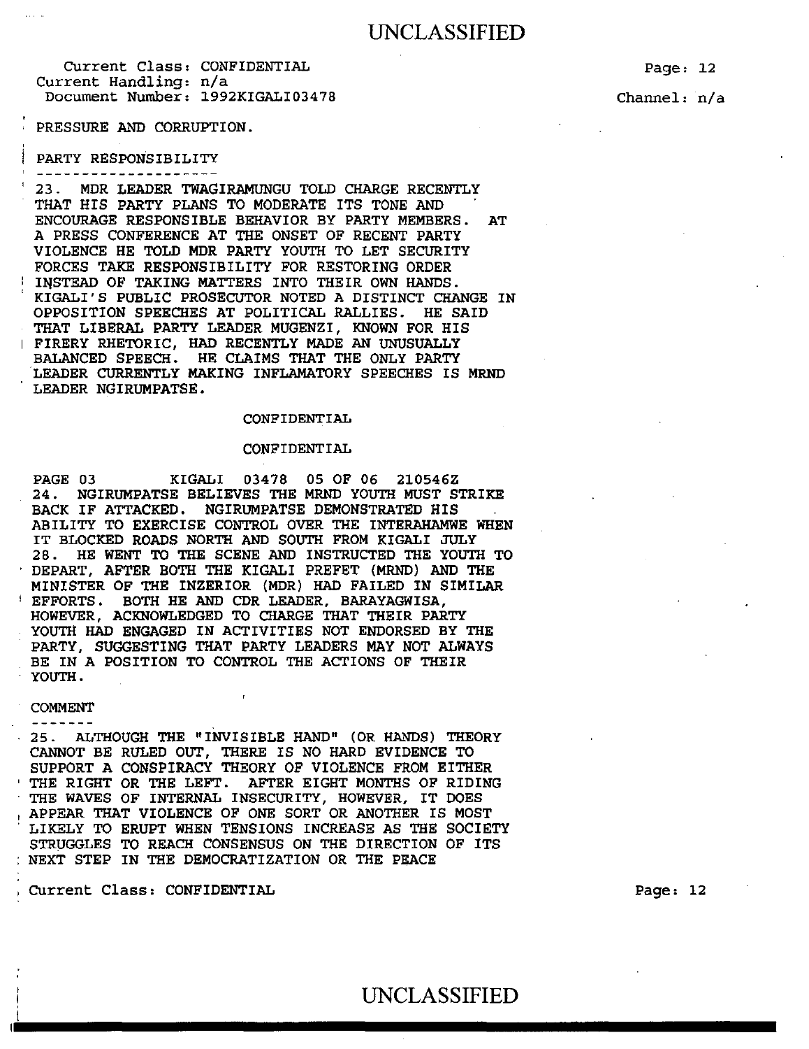PRESSURE AND CORRUPTION.

------------------

#### PARTY RESPONSIBILITY

23. MDR LEADER TWAGIRAMUNGU TOLD CHARGE RECENTLY THAT HIS PARTY PLANS TO MODERATE ITS TONE AND . ENCOURAGE RESPONSIBLE BEHAVIOR BY PARTY MEMBERS. AT A PRESS CONFERENCE AT THE ONSET OF RECENT PARTY VIOLENCE HE TOLD **MDR** PARTY YOUTH TO LET SECURITY FORCES TAKE RESPONSIBILITY FOR RESTORING ORDER INSTEAD OF TAKING MATTERS INTO THEIR OWN HANDS. KIGALI'S PUBLIC PROSECUTOR NOTED A DISTINCT CHANGE IN OPPOSITION SPEECHES AT POLITICAL RALLIES. HE SAID THAT LIBERAL PARTY LEADER MUGENZI, KNOWN FOR HIS FIRERY RHETORIC, HAD RECENTLY MADE AN UNUSUALLY BALANCED SPEECH. HE CLAIMS THAT THE ONLY PARTY LEADER CURRENTLY MAKING INFLAMATORY SPEECHES IS MRND LEADER NGIRUMPATSE.

#### CONFIDENTIAL

#### CONFIDENTIAL

PAGE 03 KIGALI 03478 OS OF 06 210546Z 24. NGIRUMPATSE BELIEVES THE MRND YOUTH MUST STRIKE BACK IF ATTACKED. NGIRUMPATSE DEMONSTRATED HIS ABILITY TO EXERCISE CONTROL OVER THE INTERAHAMWE WHEN IT BLOCKED ROADS NORTH AND SOUTH FROM KIGALI JULY 2 8 . HE WENT TO THE SCENE AND INSTRUCTED THE YOUTH TO DEPART, AFTER BOTH THE KIGALI PREFET (MRND) AND THE MINISTER OF THE INZERIOR (MDR) HAD FAILED IN SIMILAR <sup>I</sup>EFFORTS. BOTH HE AND CDR LEADER, BARAYAGWISA, HOWEVER, ACKNOWLEDGED TO CHARGE THAT THEIR PARTY YOUTH HAD ENGAGED IN ACTIVITIES NOT ENDORSED BY THE PARTY, SUGGESTING THAT PARTY LEADERS MAY NOT ALWAYS BE IN A POSITION TO CONTROL THE ACTIONS OF THEIR YOUTH.

#### COMMENT -------

I

25. ALTHOUGH THE "INVISIBLE HAND" (OR HANDS) THEORY CANNOT BE RULED OUT, THERE IS NO HARD EVIDENCE TO SUPPORT A CONSPIRACY THEORY OF VIOLENCE FROM EITHER THE RIGHT OR THE LEFT. AFTER EIGHT MONTHS OF RIDING THE WAVES OF INTERNAL INSECURITY, HOWEVER, IT DOES 1 APPEAR THAT VIOLENCE OF ONE SORT OR ANOTHER IS MOST LIKELY TO ERUPT WHEN TENSIONS INCREASE AS THE SOCIETY STRUGGLES TO REACH CONSENSUS ON THE DIRECTION OF ITS NEXT STEP IN THE DEMOCRATIZATION OR THE PEACE

, Current Class: CONFIDENTIAL

Page: 12

Channel: n/a

Page: 12

# <sup>I</sup>UNCLASSIFIED where the contract of the contract of the contract of the contract of the contract of the contract of the contract of the contract of the contract of the contract of the contract of the contract of the contract of the cont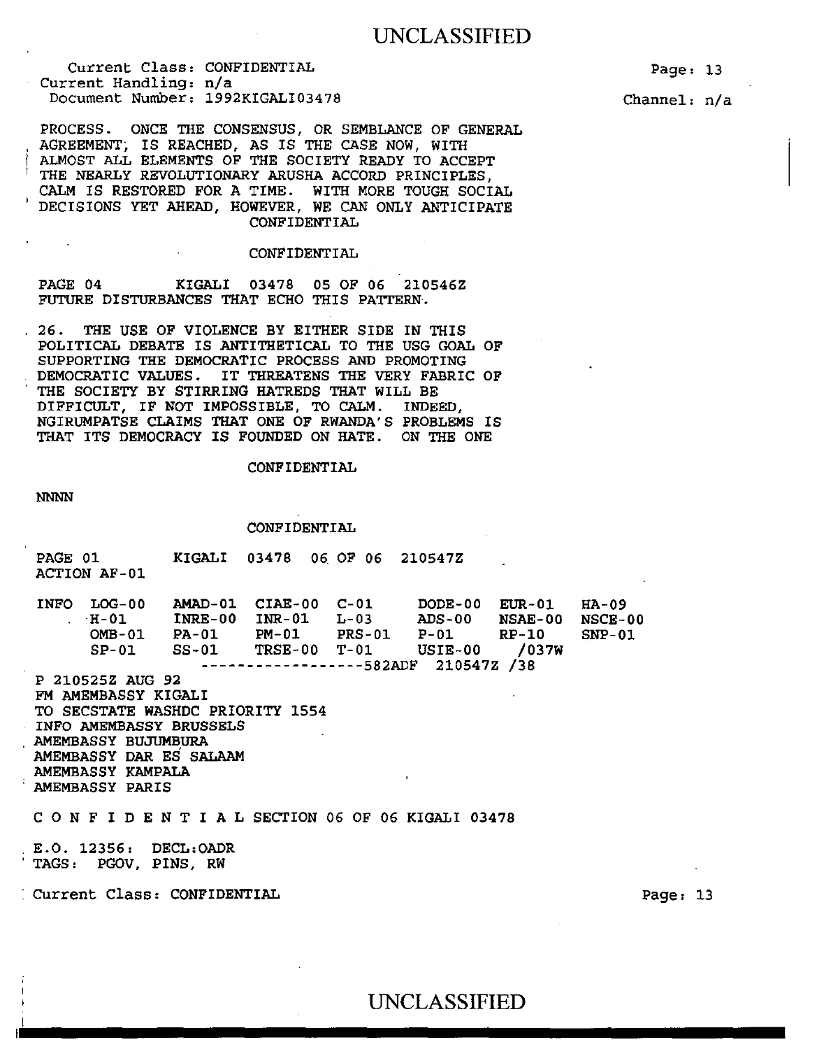Current Class: CONFIDENTIAL Current Handling: n/a Document Number: 1992KIGALI03478

Page: 13

Channel: n/a

Page: 13

PROCESS. ONCE THE CONSENSUS, OR SEMBLANCE OF GENERAL AGREEMENT; IS REACHED, AS IS THE CASE NOW, WITH ALMOST ALL ELEMENTS OF THE SOCIETY READY TO ACCEPT THE NEARLY REVOLUTIONARY ARUSHA ACCORD PRINCIPLES, CALM IS RESTORED FOR A TIME. WITH MORE TOUGH SOCIAL DECISIONS YET AHEAD, HOWEVER, WE CAN ONLY ANTICIPATE CONFIDENTIAL

#### CONFIDENTIAL

PAGE 04 KIGALI 03478 OS OF 06 210546Z FUTURE DISTURBANCES THAT ECHO THIS PATTERN.

26. THE USE OF VIOLENCE BY EITHER SIDE IN THIS POLITICAL DEBATE IS ANTITHETICAL TO THE USG GOAL OF SUPPORTING THE DEMOCRATIC PROCESS AND PROMOTING DEMOCRATIC VALUES. IT THREATENS THE VERY FABRIC OF THE SOCIETY BY STIRRING HATREDS THAT WILL BE DIFFICULT, IF NOT IMPOSSIBLE, TO CALM. INDEED, NGIRUMPATSE CLAIMS THAT ONE OF RWANDA'S PROBLEMS IS THAT ITS DEMOCRACY IS FOUNDED ON HATE. ON THE ONE

#### CONFIDENTIAL

**NNNN** 

#### CONFIDENTIAL

|                                                                                                                                                                                                                | PAGE 01 KIGALI 03478 06 OF 06 210547Z<br>ACTION AF-01 |  |  |  |  |  |                                                                                                                                                                                                                                           |  |  |
|----------------------------------------------------------------------------------------------------------------------------------------------------------------------------------------------------------------|-------------------------------------------------------|--|--|--|--|--|-------------------------------------------------------------------------------------------------------------------------------------------------------------------------------------------------------------------------------------------|--|--|
|                                                                                                                                                                                                                |                                                       |  |  |  |  |  | INFO LOG-00 AMAD-01 CIAE-00 C-01 DODE-00 EUR-01 HA-09<br>. H-01 INRE-00 INR-01 L-03 ADS-00 NSAE-00 NSCE-00<br>OMB-01 PA-01 PM-01 PRS-01 P-01 RP-10 SNP-01<br>SP-01 SS-01 TRSE-00 T-01 USIE-00 /037W<br>----------------582ADF 210547Z /38 |  |  |
| P 210525Z AUG 92<br>FM AMEMBASSY KIGALI<br>TO SECSTATE WASHDC PRIORITY 1554<br><b>INFO AMEMBASSY BRUSSELS</b><br>AMEMBASSY BUJUMBURA<br>AMEMBASSY DAR ES SALAAM<br><b>AMEMBASSY KAMPALA</b><br>AMEMBASSY PARIS |                                                       |  |  |  |  |  |                                                                                                                                                                                                                                           |  |  |
| CONFIDENTIAL SECTION 06 OF 06 KIGALI 03478                                                                                                                                                                     |                                                       |  |  |  |  |  |                                                                                                                                                                                                                                           |  |  |
| E.0. 12356: DECL:OADR<br>TAGS: PGOV, PINS, RW                                                                                                                                                                  |                                                       |  |  |  |  |  |                                                                                                                                                                                                                                           |  |  |
|                                                                                                                                                                                                                | Current Class: CONFIDENTIAL                           |  |  |  |  |  |                                                                                                                                                                                                                                           |  |  |

# UNCLASSIFIED UNCLASSIFIED